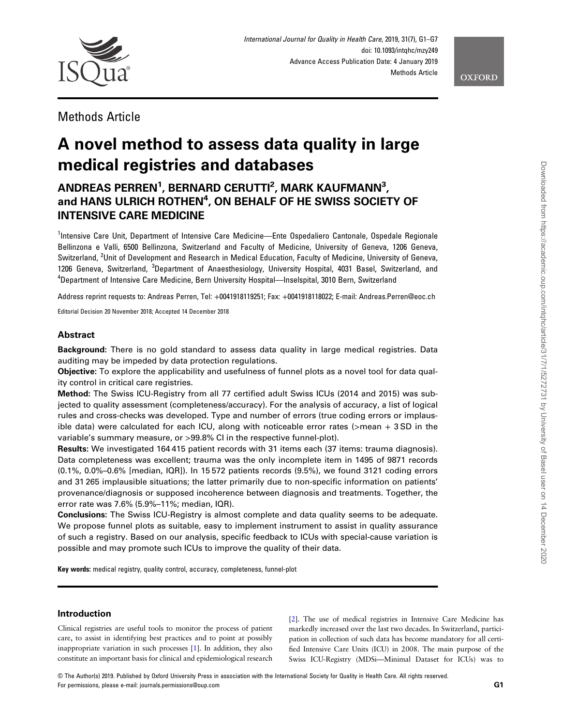

Methods Article

# A novel method to assess data quality in large medical registries and databases

# ANDREAS PERREN $^1$ , BERNARD CERUTTI $^2$ , MARK KAUFMANN $^3$ , and HANS ULRICH ROTHEN<sup>4</sup>, ON BEHALF OF HE SWISS SOCIETY OF INTENSIVE CARE MEDICINE

<sup>1</sup>Intensive Care Unit, Department of Intensive Care Medicine—Ente Ospedaliero Cantonale, Ospedale Regionale Bellinzona e Valli, 6500 Bellinzona, Switzerland and Faculty of Medicine, University of Geneva, 1206 Geneva, Switzerland, <sup>2</sup>Unit of Development and Research in Medical Education, Faculty of Medicine, University of Geneva, 1206 Geneva, Switzerland, <sup>3</sup>Department of Anaesthesiology, University Hospital, 4031 Basel, Switzerland, and 4 Department of Intensive Care Medicine, Bern University Hospital—Inselspital, 3010 Bern, Switzerland

Address reprint requests to: Andreas Perren, Tel: +0041918119251; Fax: +0041918118022; E-mail: Andreas.Perren@eoc.ch

Editorial Decision 20 November 2018; Accepted 14 December 2018

# Abstract

Background: There is no gold standard to assess data quality in large medical registries. Data auditing may be impeded by data protection regulations.

Objective: To explore the applicability and usefulness of funnel plots as a novel tool for data quality control in critical care registries.

Method: The Swiss ICU-Registry from all 77 certified adult Swiss ICUs (2014 and 2015) was subjected to quality assessment (completeness/accuracy). For the analysis of accuracy, a list of logical rules and cross-checks was developed. Type and number of errors (true coding errors or implausible data) were calculated for each ICU, along with noticeable error rates ( $>$ mean  $+$  3 SD in the variable's summary measure, or >99.8% CI in the respective funnel-plot).

Results: We investigated 164 415 patient records with 31 items each (37 items: trauma diagnosis). Data completeness was excellent; trauma was the only incomplete item in 1495 of 9871 records (0.1%, 0.0%–0.6% [median, IQR]). In 15 572 patients records (9.5%), we found 3121 coding errors and 31 265 implausible situations; the latter primarily due to non-specific information on patients' provenance/diagnosis or supposed incoherence between diagnosis and treatments. Together, the error rate was 7.6% (5.9%–11%; median, IQR).

Conclusions: The Swiss ICU-Registry is almost complete and data quality seems to be adequate. We propose funnel plots as suitable, easy to implement instrument to assist in quality assurance of such a registry. Based on our analysis, specific feedback to ICUs with special-cause variation is possible and may promote such ICUs to improve the quality of their data.

Key words: medical registry, quality control, accuracy, completeness, funnel-plot

# Introduction

Clinical registries are useful tools to monitor the process of patient care, to assist in identifying best practices and to point at possibly inappropriate variation in such processes [\[1\]](#page-6-0). In addition, they also constitute an important basis for clinical and epidemiological research [[2\]](#page-6-0). The use of medical registries in Intensive Care Medicine has markedly increased over the last two decades. In Switzerland, participation in collection of such data has become mandatory for all certified Intensive Care Units (ICU) in 2008. The main purpose of the Swiss ICU-Registry (MDSi—Minimal Dataset for ICUs) was to

© The Author(s) 2019. Published by Oxford University Press in association with the International Society for Quality in Health Care. All rights reserved. For permissions, please e-mail: journals.permissions@oup.com G1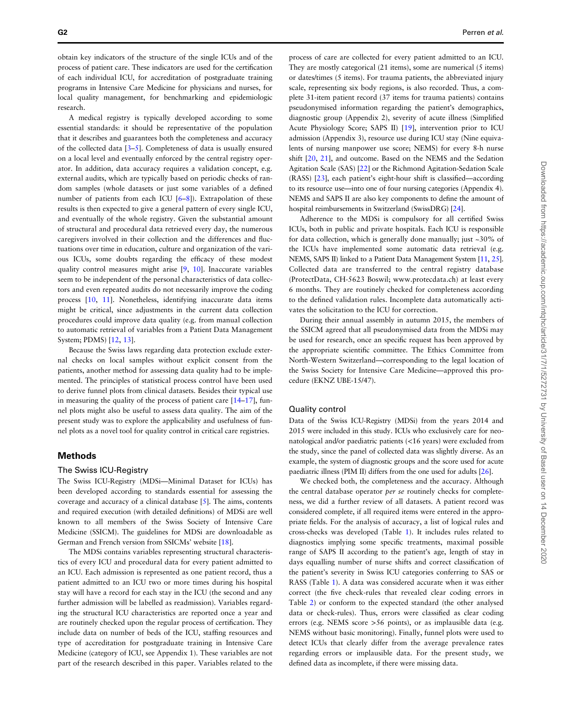obtain key indicators of the structure of the single ICUs and of the process of patient care. These indicators are used for the certification of each individual ICU, for accreditation of postgraduate training programs in Intensive Care Medicine for physicians and nurses, for local quality management, for benchmarking and epidemiologic research.

A medical registry is typically developed according to some essential standards: it should be representative of the population that it describes and guarantees both the completeness and accuracy of the collected data [[3](#page-6-0)–[5](#page-6-0)]. Completeness of data is usually ensured on a local level and eventually enforced by the central registry operator. In addition, data accuracy requires a validation concept, e.g. external audits, which are typically based on periodic checks of random samples (whole datasets or just some variables of a defined number of patients from each ICU [\[6](#page-6-0)–[8\]](#page-6-0)). Extrapolation of these results is then expected to give a general pattern of every single ICU, and eventually of the whole registry. Given the substantial amount of structural and procedural data retrieved every day, the numerous caregivers involved in their collection and the differences and fluctuations over time in education, culture and organization of the various ICUs, some doubts regarding the efficacy of these modest quality control measures might arise [[9,](#page-6-0) [10\]](#page-6-0). Inaccurate variables seem to be independent of the personal characteristics of data collectors and even repeated audits do not necessarily improve the coding process [[10](#page-6-0), [11](#page-6-0)]. Nonetheless, identifying inaccurate data items might be critical, since adjustments in the current data collection procedures could improve data quality (e.g. from manual collection to automatic retrieval of variables from a Patient Data Management System; PDMS) [[12,](#page-6-0) [13\]](#page-6-0).

Because the Swiss laws regarding data protection exclude external checks on local samples without explicit consent from the patients, another method for assessing data quality had to be implemented. The principles of statistical process control have been used to derive funnel plots from clinical datasets. Besides their typical use in measuring the quality of the process of patient care [\[14](#page-6-0)–[17\]](#page-6-0), funnel plots might also be useful to assess data quality. The aim of the present study was to explore the applicability and usefulness of funnel plots as a novel tool for quality control in critical care registries.

# **Methods**

# The Swiss ICU-Registry

The Swiss ICU-Registry (MDSi—Minimal Dataset for ICUs) has been developed according to standards essential for assessing the coverage and accuracy of a clinical database [[5](#page-6-0)]. The aims, contents and required execution (with detailed definitions) of MDSi are well known to all members of the Swiss Society of Intensive Care Medicine (SSICM). The guidelines for MDSi are downloadable as German and French version from SSICMs' website [\[18\]](#page-6-0).

The MDSi contains variables representing structural characteristics of every ICU and procedural data for every patient admitted to an ICU. Each admission is represented as one patient record, thus a patient admitted to an ICU two or more times during his hospital stay will have a record for each stay in the ICU (the second and any further admission will be labelled as readmission). Variables regarding the structural ICU characteristics are reported once a year and are routinely checked upon the regular process of certification. They include data on number of beds of the ICU, staffing resources and type of accreditation for postgraduate training in Intensive Care Medicine (category of ICU, see Appendix 1). These variables are not part of the research described in this paper. Variables related to the

process of care are collected for every patient admitted to an ICU. They are mostly categorical (21 items), some are numerical (5 items) or dates/times (5 items). For trauma patients, the abbreviated injury scale, representing six body regions, is also recorded. Thus, a complete 31-item patient record (37 items for trauma patients) contains pseudonymised information regarding the patient's demographics, diagnostic group (Appendix 2), severity of acute illness (Simplified Acute Physiology Score; SAPS II) [\[19](#page-6-0)], intervention prior to ICU admission (Appendix 3), resource use during ICU stay (Nine equivalents of nursing manpower use score; NEMS) for every 8-h nurse shift [\[20](#page-6-0), [21](#page-6-0)], and outcome. Based on the NEMS and the Sedation Agitation Scale (SAS) [\[22\]](#page-6-0) or the Richmond Agitation-Sedation Scale (RASS) [\[23](#page-6-0)], each patient's eight-hour shift is classified—according to its resource use—into one of four nursing categories (Appendix 4). NEMS and SAPS II are also key components to define the amount of hospital reimbursements in Switzerland (SwissDRG) [[24](#page-6-0)].

Adherence to the MDSi is compulsory for all certified Swiss ICUs, both in public and private hospitals. Each ICU is responsible for data collection, which is generally done manually; just ~30% of the ICUs have implemented some automatic data retrieval (e.g. NEMS, SAPS II) linked to a Patient Data Management System [\[11,](#page-6-0) [25](#page-6-0)]. Collected data are transferred to the central registry database (ProtectData, CH-5623 Boswil; www.protecdata.ch) at least every 6 months. They are routinely checked for completeness according to the defined validation rules. Incomplete data automatically activates the solicitation to the ICU for correction.

During their annual assembly in autumn 2015, the members of the SSICM agreed that all pseudonymised data from the MDSi may be used for research, once an specific request has been approved by the appropriate scientific committee. The Ethics Committee from North-Western Switzerland—corresponding to the legal location of the Swiss Society for Intensive Care Medicine—approved this procedure (EKNZ UBE-15/47).

#### Quality control

Data of the Swiss ICU-Registry (MDSi) from the years 2014 and 2015 were included in this study. ICUs who exclusively care for neonatological and/or paediatric patients (<16 years) were excluded from the study, since the panel of collected data was slightly diverse. As an example, the system of diagnostic groups and the score used for acute paediatric illness (PIM II) differs from the one used for adults [\[26](#page-6-0)].

We checked both, the completeness and the accuracy. Although the central database operator per se routinely checks for completeness, we did a further review of all datasets. A patient record was considered complete, if all required items were entered in the appropriate fields. For the analysis of accuracy, a list of logical rules and cross-checks was developed (Table [1](#page-2-0)). It includes rules related to diagnostics implying some specific treatments, maximal possible range of SAPS II according to the patient's age, length of stay in days equalling number of nurse shifts and correct classification of the patient's severity in Swiss ICU categories conferring to SAS or RASS (Table [1](#page-2-0)). A data was considered accurate when it was either correct (the five check-rules that revealed clear coding errors in Table [2](#page-3-0)) or conform to the expected standard (the other analysed data or check-rules). Thus, errors were classified as clear coding errors (e.g. NEMS score >56 points), or as implausible data (e.g. NEMS without basic monitoring). Finally, funnel plots were used to detect ICUs that clearly differ from the average prevalence rates regarding errors or implausible data. For the present study, we defined data as incomplete, if there were missing data.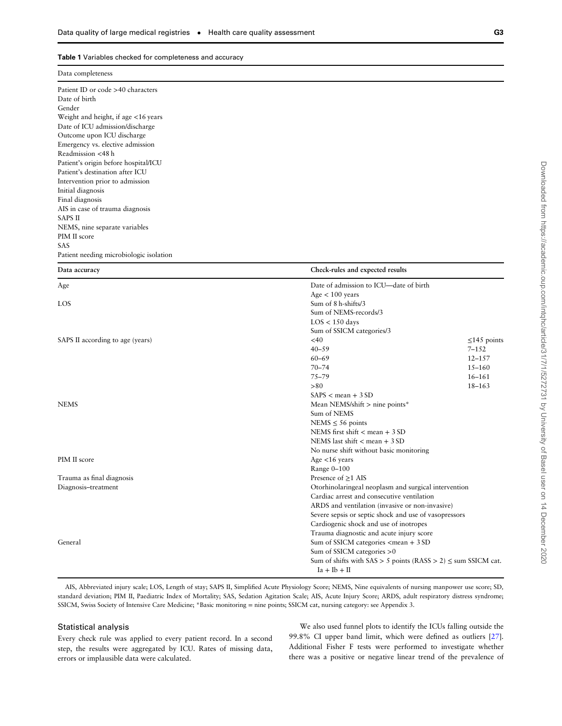#### <span id="page-2-0"></span>Table 1 Variables checked for completeness and accuracy

| Data completeness                       |                                        |
|-----------------------------------------|----------------------------------------|
| Patient ID or code >40 characters       |                                        |
| Date of birth                           |                                        |
| Gender                                  |                                        |
| Weight and height, if age <16 years     |                                        |
| Date of ICU admission/discharge         |                                        |
| Outcome upon ICU discharge              |                                        |
| Emergency vs. elective admission        |                                        |
| Readmission <48 h                       |                                        |
| Patient's origin before hospital/ICU    |                                        |
| Patient's destination after ICU         |                                        |
| Intervention prior to admission         |                                        |
| Initial diagnosis                       |                                        |
| Final diagnosis                         |                                        |
| AIS in case of trauma diagnosis         |                                        |
| <b>SAPS II</b>                          |                                        |
| NEMS, nine separate variables           |                                        |
| PIM II score                            |                                        |
| <b>SAS</b>                              |                                        |
| Patient needing microbiologic isolation |                                        |
| Data accuracy                           | Check-rules and expected results       |
| Age                                     | Date of admission to ICU—date of birth |
|                                         | Age < 100 years                        |

|                                  | Age < 100 years                                                      |                   |  |  |
|----------------------------------|----------------------------------------------------------------------|-------------------|--|--|
| LOS                              | Sum of 8 h-shifts/3                                                  |                   |  |  |
|                                  | Sum of NEMS-records/3                                                |                   |  |  |
|                                  | $LOS < 150$ days                                                     |                   |  |  |
|                                  | Sum of SSICM categories/3                                            |                   |  |  |
| SAPS II according to age (years) | $<$ 40                                                               | $\leq$ 145 points |  |  |
|                                  | $40 - 59$                                                            | $7 - 152$         |  |  |
|                                  | $60 - 69$                                                            | $12 - 157$        |  |  |
|                                  | $70 - 74$                                                            | $15 - 160$        |  |  |
|                                  | $75 - 79$                                                            | $16 - 161$        |  |  |
|                                  | > 80                                                                 | $18 - 163$        |  |  |
|                                  | $SAPS < mean + 3 SD$                                                 |                   |  |  |
| <b>NEMS</b>                      | Mean NEMS/shift > nine points*                                       |                   |  |  |
|                                  | Sum of NEMS                                                          |                   |  |  |
|                                  | NEMS $\leq$ 56 points                                                |                   |  |  |
|                                  | NEMS first shift $<$ mean + 3 SD                                     |                   |  |  |
|                                  | NEMS last shift $<$ mean + 3 SD                                      |                   |  |  |
|                                  | No nurse shift without basic monitoring                              |                   |  |  |
| PIM II score                     | Age $<$ 16 years                                                     |                   |  |  |
|                                  | Range 0-100                                                          |                   |  |  |
| Trauma as final diagnosis        | Presence of $\geq 1$ AIS                                             |                   |  |  |
| Diagnosis-treatment              | Otorhinolaringeal neoplasm and surgical intervention                 |                   |  |  |
|                                  | Cardiac arrest and consecutive ventilation                           |                   |  |  |
|                                  | ARDS and ventilation (invasive or non-invasive)                      |                   |  |  |
|                                  | Severe sepsis or septic shock and use of vasopressors                |                   |  |  |
|                                  | Cardiogenic shock and use of inotropes                               |                   |  |  |
|                                  | Trauma diagnostic and acute injury score                             |                   |  |  |
| General                          | Sum of SSICM categories $\leq$ mean + 3 SD                           |                   |  |  |
|                                  | Sum of SSICM categories $>0$                                         |                   |  |  |
|                                  | Sum of shifts with $SAS > 5$ points (RASS > 2) $\leq$ sum SSICM cat. |                   |  |  |
|                                  | $Ia + Ib + II$                                                       |                   |  |  |

Downloaded from https://academic.oup.com/intqhc/article/31/7/1/5272731 by University of Basel user on 14 December 2020 Downloaded from https://academic.oup.com/intqhc/article/31/7/1/5272731 by University of Basel user on 14 December 2020

AIS, Abbreviated injury scale; LOS, Length of stay; SAPS II, Simplified Acute Physiology Score; NEMS, Nine equivalents of nursing manpower use score; SD, standard deviation; PIM II, Paediatric Index of Mortality; SAS, Sedation Agitation Scale; AIS, Acute Injury Score; ARDS, adult respiratory distress syndrome; SSICM, Swiss Society of Intensive Care Medicine; \*Basic monitoring = nine points; SSICM cat, nursing category: see Appendix 3.

#### Statistical analysis

Every check rule was applied to every patient record. In a second step, the results were aggregated by ICU. Rates of missing data, errors or implausible data were calculated.

We also used funnel plots to identify the ICUs falling outside the 99.8% CI upper band limit, which were defined as outliers [\[27](#page-6-0)]. Additional Fisher F tests were performed to investigate whether there was a positive or negative linear trend of the prevalence of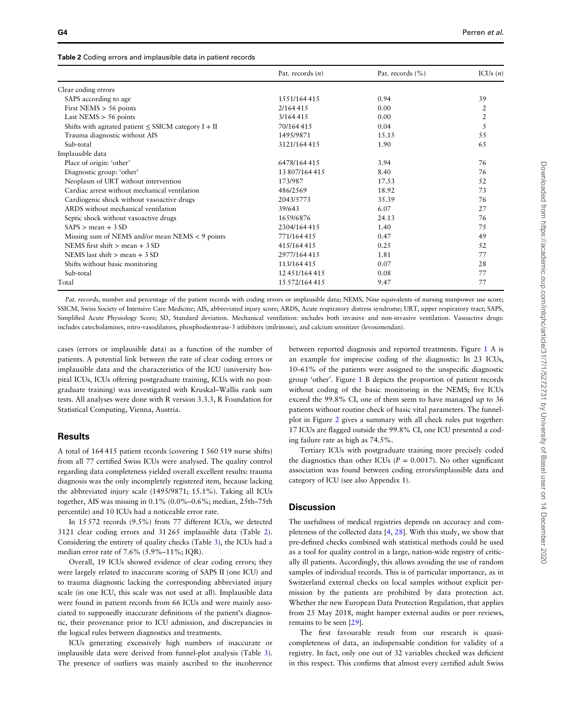<span id="page-3-0"></span>

| Table 2 Coding errors and implausible data in patient records |  |  |  |  |  |  |  |  |
|---------------------------------------------------------------|--|--|--|--|--|--|--|--|
|---------------------------------------------------------------|--|--|--|--|--|--|--|--|

|                                                           | Pat. records $(n)$ | Pat. records (%) | ICU <sub>s</sub> $(n)$ |
|-----------------------------------------------------------|--------------------|------------------|------------------------|
| Clear coding errors                                       |                    |                  |                        |
| SAPS according to age                                     | 1551/164415        | 0.94             | 39                     |
| First NEMS $> 56$ points                                  | 2/164 415          | 0.00             | 2                      |
| Last NEMS $> 56$ points                                   | 3/164 415          | 0.00             | 2                      |
| Shifts with agitated patient $\leq$ SSICM category I + II | 70/164 415         | 0.04             | 5                      |
| Trauma diagnostic without AIS                             | 1495/9871          | 15.15            | 55                     |
| Sub-total                                                 | 3121/164 415       | 1.90             | 65                     |
| Implausible data                                          |                    |                  |                        |
| Place of origin: 'other'                                  | 6478/164415        | 3.94             | 76                     |
| Diagnostic group: 'other'                                 | 13 807/164 415     | 8.40             | 76                     |
| Neoplasm of URT without intervention                      | 173/987            | 17.53            | 52                     |
| Cardiac arrest without mechanical ventilation             | 486/2569           | 18.92            | 73                     |
| Cardiogenic shock without vasoactive drugs                | 2043/5773          | 35.39            | 76                     |
| ARDS without mechanical ventilation                       | 39/643             | 6.07             | 27                     |
| Septic shock without vasoactive drugs                     | 1659/6876          | 24.13            | 76                     |
| $SAPS$ > mean + 3 SD                                      | 2304/164 415       | 1.40             | 75                     |
| Missing sum of NEMS and/or mean NEMS $<$ 9 points         | 771/164 415        | 0.47             | 49                     |
| NEMS first shift $>$ mean $+3$ SD                         | 415/164 415        | 0.25             | 52                     |
| NEMS last shift $>$ mean $+3$ SD                          | 2977/164 415       | 1.81             | 77                     |
| Shifts without basic monitoring                           | 113/164 415        | 0.07             | 28                     |
| Sub-total                                                 | 12 451/164 415     | 0.08             | 77                     |
| Total                                                     | 15 572/164 415     | 9.47             | 77                     |

Pat. records, number and percentage of the patient records with coding errors or implausible data; NEMS, Nine equivalents of nursing manpower use score; SSICM, Swiss Society of Intensive Care Medicine; AIS, abbreviated injury score; ARDS, Acute respiratory distress syndrome; URT, upper respiratory tract; SAPS, Simplified Acute Physiology Score; SD, Standard deviation. Mechanical ventilation: includes both invasive and non-invasive ventilation. Vasoactive drugs: includes catecholamines, nitro-vasodilators, phosphodiesterase-3 inhibitors (milrinone), and calcium sensitizer (levosimendan).

cases (errors or implausible data) as a function of the number of patients. A potential link between the rate of clear coding errors or implausible data and the characteristics of the ICU (university hospital ICUs, ICUs offering postgraduate training, ICUs with no postgraduate training) was investigated with Kruskal–Wallis rank sum tests. All analyses were done with R version 3.3.3, R Foundation for Statistical Computing, Vienna, Austria.

# **Results**

A total of 164 415 patient records (covering 1 560 519 nurse shifts) from all 77 certified Swiss ICUs were analysed. The quality control regarding data completeness yielded overall excellent results: trauma diagnosis was the only incompletely registered item, because lacking the abbreviated injury scale (1495/9871; 15.1%). Taking all ICUs together, AIS was missing in 0.1% (0.0%–0.6%; median, 25th–75th percentile) and 10 ICUs had a noticeable error rate.

In 15 572 records (9.5%) from 77 different ICUs, we detected 3121 clear coding errors and 31 265 implausible data (Table 2). Considering the entirety of quality checks (Table [3\)](#page-4-0), the ICUs had a median error rate of 7.6% (5.9%–11%; IQR).

Overall, 19 ICUs showed evidence of clear coding errors; they were largely related to inaccurate scoring of SAPS II (one ICU) and to trauma diagnostic lacking the corresponding abbreviated injury scale (in one ICU, this scale was not used at all). Implausible data were found in patient records from 66 ICUs and were mainly associated to supposedly inaccurate definitions of the patient's diagnostic, their provenance prior to ICU admission, and discrepancies in the logical rules between diagnostics and treatments.

ICUs generating excessively high numbers of inaccurate or implausible data were derived from funnel-plot analysis (Table [3](#page-4-0)). The presence of outliers was mainly ascribed to the incoherence between reported diagnosis and reported treatments. Figure [1](#page-4-0) A is an example for imprecise coding of the diagnostic: In 23 ICUs, 10–61% of the patients were assigned to the unspecific diagnostic group 'other'. Figure [1](#page-4-0) B depicts the proportion of patient records without coding of the basic monitoring in the NEMS; five ICUs exceed the 99.8% CI, one of them seem to have managed up to 36 patients without routine check of basic vital parameters. The funnelplot in Figure [2](#page-5-0) gives a summary with all check rules put together: 17 ICUs are flagged outside the 99.8% CI, one ICU presented a coding failure rate as high as 74.5%.

Tertiary ICUs with postgraduate training more precisely coded the diagnostics than other ICUs ( $P = 0.0017$ ). No other significant association was found between coding errors/implausible data and category of ICU (see also Appendix 1).

#### **Discussion**

The usefulness of medical registries depends on accuracy and completeness of the collected data  $[4, 28]$  $[4, 28]$  $[4, 28]$  $[4, 28]$ . With this study, we show that pre-defined checks combined with statistical methods could be used as a tool for quality control in a large, nation-wide registry of critically ill patients. Accordingly, this allows avoiding the use of random samples of individual records. This is of particular importance, as in Switzerland external checks on local samples without explicit permission by the patients are prohibited by data protection act. Whether the new European Data Protection Regulation, that applies from 25 May 2018, might hamper external audits or peer reviews, remains to be seen [[29](#page-6-0)].

The first favourable result from our research is quasicompleteness of data, an indispensable condition for validity of a registry. In fact, only one out of 32 variables checked was deficient in this respect. This confirms that almost every certified adult Swiss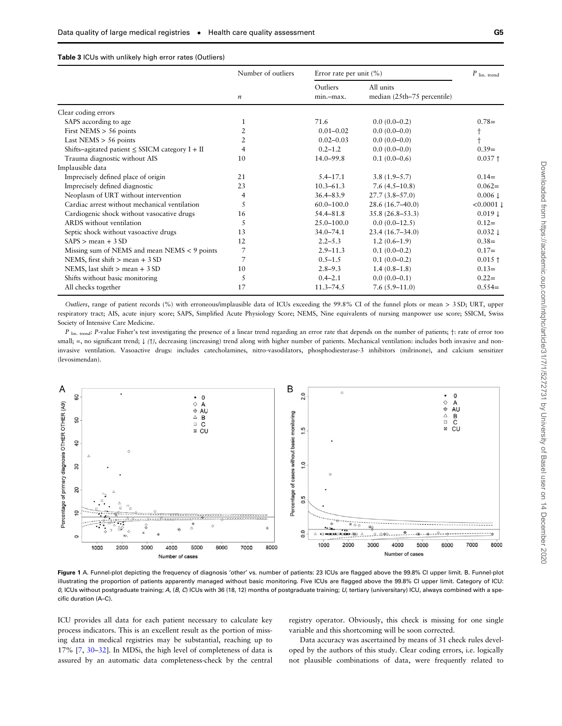<span id="page-4-0"></span>

|  | <b>Table 3</b> ICUs with unlikely high error rates (Outliers) |
|--|---------------------------------------------------------------|
|--|---------------------------------------------------------------|

|                                                      | Number of outliers | Error rate per unit $(\% )$ | $P$ lin. trend                           |                       |
|------------------------------------------------------|--------------------|-----------------------------|------------------------------------------|-----------------------|
|                                                      | $\boldsymbol{n}$   | Outliers<br>min.-max.       | All units<br>median (25th–75 percentile) |                       |
| Clear coding errors                                  |                    |                             |                                          |                       |
| SAPS according to age                                | 1                  | 71.6                        | $0.0(0.0-0.2)$                           | $0.78=$               |
| First NEMS $> 56$ points                             | 2                  | $0.01 - 0.02$               | $0.0(0.0-0.0)$                           |                       |
| Last NEMS $> 56$ points                              | 2                  | $0.02 - 0.03$               | $0.0(0.0-0.0)$                           | $\ddagger$            |
| Shifts-agitated patient $\leq$ SSICM category I + II | 4                  | $0.2 - 1.2$                 | $0.0(0.0-0.0)$                           | $0.39=$               |
| Trauma diagnostic without AIS                        | 10                 | $14.0 - 99.8$               | $0.1(0.0-0.6)$                           | $0.037$ ↑             |
| Implausible data                                     |                    |                             |                                          |                       |
| Imprecisely defined place of origin                  | 21                 | $5.4 - 17.1$                | $3.8(1.9-5.7)$                           | $0.14=$               |
| Imprecisely defined diagnostic                       | 23                 | $10.3 - 61.3$               | $7.6(4.5-10.8)$                          | $0.062=$              |
| Neoplasm of URT without intervention                 | 4                  | $36.4 - 83.9$               | $27.7(3.8 - 57.0)$                       | $0.006\downarrow$     |
| Cardiac arrest without mechanical ventilation        | 5                  | $60.0 - 100.0$              | $28.6(16.7-40.0)$                        | $< 0.0001 \downarrow$ |
| Cardiogenic shock without vasocative drugs           | 16                 | 54.4-81.8                   | $35.8(26.8 - 53.3)$                      | $0.019 \downarrow$    |
| ARDS without ventilation                             | 5                  | $25.0 - 100.0$              | $0.0(0.0-12.5)$                          | $0.12=$               |
| Septic shock without vasoactive drugs                | 13                 | $34.0 - 74.1$               | $23.4(16.7-34.0)$                        | $0.032 \downarrow$    |
| $SAPS$ > mean + 3 SD                                 | 12                 | $2.2 - 5.3$                 | $1.2(0.6-1.9)$                           | $0.38=$               |
| Missing sum of NEMS and mean NEMS $< 9$ points       | 7                  | $2.9 - 11.3$                | $0.1(0.0-0.2)$                           | $0.17=$               |
| NEMS, first shift $>$ mean + 3 SD                    | 7                  | $0.5 - 1.5$                 | $0.1(0.0-0.2)$                           | $0.015$ ↑             |
| NEMS, last shift > mean + 3 SD                       | 10                 | $2.8 - 9.3$                 | $1.4(0.8-1.8)$                           | $0.13=$               |
| Shifts without basic monitoring                      | 5                  | $0.4 - 2.1$                 | $0.0(0.0-0.1)$                           | $0.22=$               |
| All checks together                                  | 17                 | $11.3 - 74.5$               | $7.6(5.9-11.0)$                          | $0.554=$              |

Outliers, range of patient records (%) with erroneous/implausible data of ICUs exceeding the 99.8% CI of the funnel plots or mean > 3 SD; URT, upper respiratory tract; AIS, acute injury score; SAPS, Simplified Acute Physiology Score; NEMS, Nine equivalents of nursing manpower use score; SSICM, Swiss Society of Intensive Care Medicine.

 $P_{\text{lin. trend}}$ : P-value Fisher's test investigating the presence of a linear trend regarding an error rate that depends on the number of patients; †: rate of error too small; =, no significant trend; ↓ (1), decreasing (increasing) trend along with higher number of patients. Mechanical ventilation: includes both invasive and noninvasive ventilation. Vasoactive drugs: includes catecholamines, nitro-vasodilators, phosphodiesterase-3 inhibitors (milrinone), and calcium sensitizer (levosimendan).



Figure 1 A. Funnel-plot depicting the frequency of diagnosis 'other' vs. number of patients: 23 ICUs are flagged above the 99.8% CI upper limit. B. Funnel-plot illustrating the proportion of patients apparently managed without basic monitoring. Five ICUs are flagged above the 99.8% CI upper limit. Category of ICU: 0, ICUs without postgraduate training; A, (B, C) ICUs with 36 (18, 12) months of postgraduate training; U, tertiary (universitary) ICU, always combined with a specific duration (A–C).

ICU provides all data for each patient necessary to calculate key process indicators. This is an excellent result as the portion of missing data in medical registries may be substantial, reaching up to 17% [\[7,](#page-6-0) [30](#page-6-0)–[32\]](#page-6-0). In MDSi, the high level of completeness of data is assured by an automatic data completeness-check by the central registry operator. Obviously, this check is missing for one single variable and this shortcoming will be soon corrected.

Data accuracy was ascertained by means of 31 check rules developed by the authors of this study. Clear coding errors, i.e. logically not plausible combinations of data, were frequently related to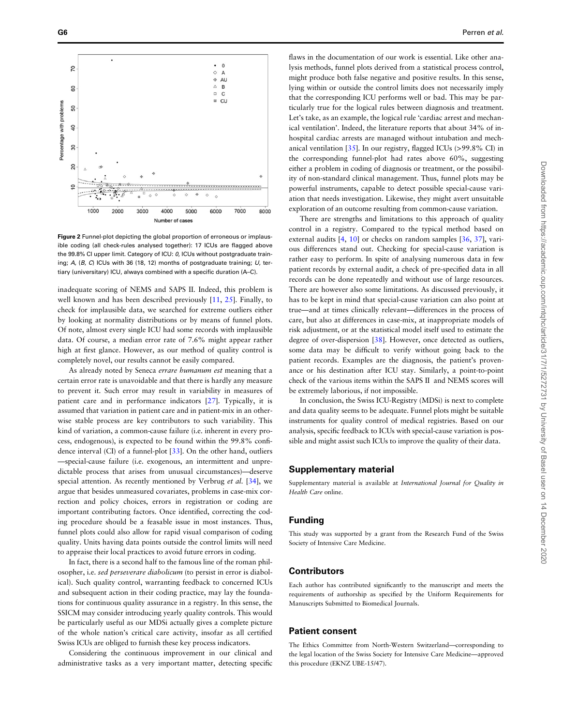<span id="page-5-0"></span>

Figure 2 Funnel-plot depicting the global proportion of erroneous or implausible coding (all check-rules analysed together): 17 ICUs are flagged above the 99.8% CI upper limit. Category of ICU: 0, ICUs without postgraduate training; A, (B, C) ICUs with 36 (18, 12) months of postgraduate training; U, tertiary (universitary) ICU, always combined with a specific duration (A–C).

inadequate scoring of NEMS and SAPS II. Indeed, this problem is well known and has been described previously [\[11,](#page-6-0) [25\]](#page-6-0). Finally, to check for implausible data, we searched for extreme outliers either by looking at normality distributions or by means of funnel plots. Of note, almost every single ICU had some records with implausible data. Of course, a median error rate of 7.6% might appear rather high at first glance. However, as our method of quality control is completely novel, our results cannot be easily compared.

As already noted by Seneca errare humanum est meaning that a certain error rate is unavoidable and that there is hardly any measure to prevent it. Such error may result in variability in measures of patient care and in performance indicators [\[27](#page-6-0)]. Typically, it is assumed that variation in patient care and in patient-mix in an otherwise stable process are key contributors to such variability. This kind of variation, a common-cause failure (i.e. inherent in every process, endogenous), is expected to be found within the 99.8% confidence interval (CI) of a funnel-plot [\[33](#page-6-0)]. On the other hand, outliers —special-cause failure (i.e. exogenous, an intermittent and unpredictable process that arises from unusual circumstances)—deserve special attention. As recently mentioned by Verbrug et al. [[34\]](#page-6-0), we argue that besides unmeasured covariates, problems in case-mix correction and policy choices, errors in registration or coding are important contributing factors. Once identified, correcting the coding procedure should be a feasable issue in most instances. Thus, funnel plots could also allow for rapid visual comparison of coding quality. Units having data points outside the control limits will need to appraise their local practices to avoid future errors in coding.

In fact, there is a second half to the famous line of the roman philosopher, i.e. sed perseverare diabolicum (to persist in error is diabolical). Such quality control, warranting feedback to concerned ICUs and subsequent action in their coding practice, may lay the foundations for continuous quality assurance in a registry. In this sense, the SSICM may consider introducing yearly quality controls. This would be particularly useful as our MDSi actually gives a complete picture of the whole nation's critical care activity, insofar as all certified Swiss ICUs are obliged to furnish these key process indicators.

Considering the continuous improvement in our clinical and administrative tasks as a very important matter, detecting specific

flaws in the documentation of our work is essential. Like other analysis methods, funnel plots derived from a statistical process control, might produce both false negative and positive results. In this sense, lying within or outside the control limits does not necessarily imply that the corresponding ICU performs well or bad. This may be particularly true for the logical rules between diagnosis and treatment. Let's take, as an example, the logical rule 'cardiac arrest and mechanical ventilation'. Indeed, the literature reports that about 34% of inhospital cardiac arrests are managed without intubation and mechanical ventilation [\[35\]](#page-6-0). In our registry, flagged ICUs (>99.8% CI) in the corresponding funnel-plot had rates above 60%, suggesting either a problem in coding of diagnosis or treatment, or the possibility of non-standard clinical management. Thus, funnel plots may be powerful instruments, capable to detect possible special-cause variation that needs investigation. Likewise, they might avert unsuitable exploration of an outcome resulting from common-cause variation.

There are strengths and limitations to this approach of quality control in a registry. Compared to the typical method based on external audits [\[4,](#page-6-0) [10](#page-6-0)] or checks on random samples [\[36,](#page-6-0) [37\]](#page-6-0), various differences stand out. Checking for special-cause variation is rather easy to perform. In spite of analysing numerous data in few patient records by external audit, a check of pre-specified data in all records can be done repeatedly and without use of large resources. There are however also some limitations. As discussed previously, it has to be kept in mind that special-cause variation can also point at true—and at times clinically relevant—differences in the process of care, but also at differences in case-mix, at inappropriate models of risk adjustment, or at the statistical model itself used to estimate the degree of over-dispersion [\[38\]](#page-6-0). However, once detected as outliers, some data may be difficult to verify without going back to the patient records. Examples are the diagnosis, the patient's provenance or his destination after ICU stay. Similarly, a point-to-point check of the various items within the SAPS II and NEMS scores will be extremely laborious, if not impossible.

In conclusion, the Swiss ICU-Registry (MDSi) is next to complete and data quality seems to be adequate. Funnel plots might be suitable instruments for quality control of medical registries. Based on our analysis, specific feedback to ICUs with special-cause variation is possible and might assist such ICUs to improve the quality of their data.

# Supplementary material

Supplementary material is available at International Journal for Quality in Health Care online.

# Funding

This study was supported by a grant from the Research Fund of the Swiss Society of Intensive Care Medicine.

# **Contributors**

Each author has contributed significantly to the manuscript and meets the requirements of authorship as specified by the Uniform Requirements for Manuscripts Submitted to Biomedical Journals.

### Patient consent

The Ethics Committee from North-Western Switzerland—corresponding to the legal location of the Swiss Society for Intensive Care Medicine—approved this procedure (EKNZ UBE-15/47).